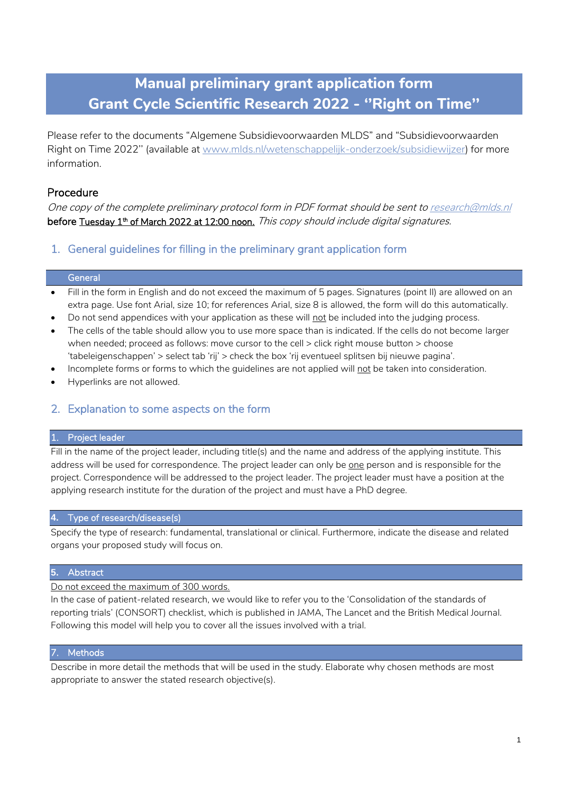# **Manual preliminary grant application form Grant Cycle Scientific Research 2022 - ''Right on Time''**

Please refer to the documents "Algemene Subsidievoorwaarden MLDS" and "Subsidievoorwaarden Right on Time 2022'' (available at [www.mlds.nl/wetenschappelijk-onderzoek/subsidiewijzer\)](http://www.mlds.nl/wetenschappelijk-onderzoek/subsidiewijzer) for more information.

# Procedure

One copy of the complete preliminary protocol form in PDF format should be sent t[o research@mlds.nl](mailto:research@mlds.nl) **before <u>Tuesday 1th of March 2022 at 12:00 noon.</u>** *This copy should include digital signatures.* 

# 1. General guidelines for filling in the preliminary grant application form

## **General**

- Fill in the form in English and do not exceed the maximum of 5 pages. Signatures (point II) are allowed on an extra page. Use font Arial, size 10; for references Arial, size 8 is allowed, the form will do this automatically.
- Do not send appendices with your application as these will not be included into the judging process.
- The cells of the table should allow you to use more space than is indicated. If the cells do not become larger when needed; proceed as follows: move cursor to the cell > click right mouse button > choose 'tabeleigenschappen' > select tab 'rij' > check the box 'rij eventueel splitsen bij nieuwe pagina'.
- Incomplete forms or forms to which the guidelines are not applied will not be taken into consideration.
- Hyperlinks are not allowed.

# 2. Explanation to some aspects on the form

#### 1. Project leader

Fill in the name of the project leader, including title(s) and the name and address of the applying institute. This address will be used for correspondence. The project leader can only be one person and is responsible for the project. Correspondence will be addressed to the project leader. The project leader must have a position at the applying research institute for the duration of the project and must have a PhD degree.

#### **4.** Type of research/disease(s)

Specify the type of research: fundamental, translational or clinical. Furthermore, indicate the disease and related organs your proposed study will focus on.

#### **5.** Abstract

Do not exceed the maximum of 300 words.

In the case of patient-related research, we would like to refer you to the 'Consolidation of the standards of reporting trials' (CONSORT) checklist, which is published in JAMA, The Lancet and the British Medical Journal. Following this model will help you to cover all the issues involved with a trial.

#### 7. Methods

Describe in more detail the methods that will be used in the study. Elaborate why chosen methods are most appropriate to answer the stated research objective(s).